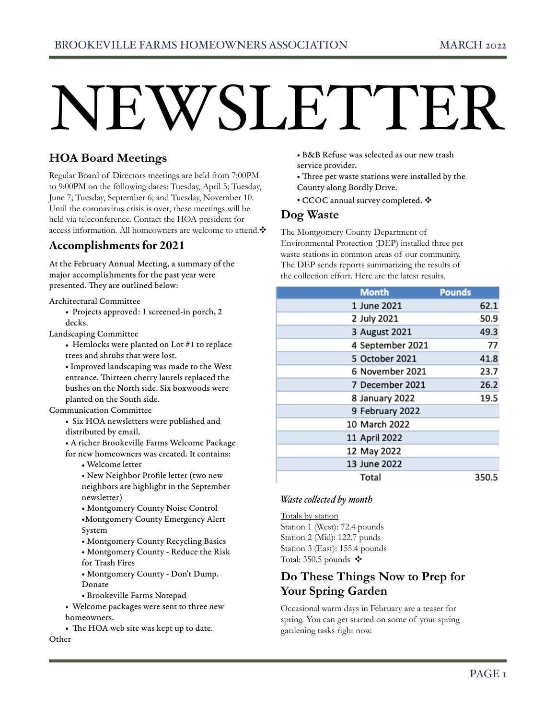# NEWSLETTER

# **HOA Board Meetings**

Regular Board of Directors meetings are held from 7:00PM to 9:00PM on the following dates: Tuesday, April 5; Tuesday, June 7; Tuesday, September 6; and Tuesday, November 10. Until the coronavirus crisis is over, these meetings will be held via teleconference. Contact the HOA president for access information. All homeowners are welcome to attend.✥

# Accomplishments for 2021

At the February Annual Meeting, a summary of the major accomplishments for the past year were presented. They are outlined below:

Architectural Committee

• Projects approved: 1 screened-in porch, 2 decks.

Landscaping Committee

• Hemlocks were planted on Lot #1 to replace trees and shrubs that were lost.

• Improved landscaping was made to the West entrance. Thirteen cherry laurels replaced the bushes on the North side. Six boxwoods were planted on the South side.

#### Communication Committee

• Six HOA newsletters were published and distributed by email.

• A richer Brookeville Farms Welcome Package for new homeowners was created. It contains:

• Welcome letter

• New Neighbor Profile letter (two new neighbors are highlight in the September newsletter)

• Montgomery County Noise Control

•Montgomery County Emergency Alert System

• Montgomery County Recycling Basics

• Montgomery County - Reduce the Risk for Trash Fires

• Montgomery County - Don't Dump. Donate

• Brookeville Farms Notepad

• Welcome packages were sent to three new homeowners.

• The HOA web site was kept up to date. Other

• B&B Refuse was selected as our new trash service provider.

• Three pet waste stations were installed by the County along Bordly Drive.

• CCOC annual survey completed.  $\clubsuit$ 

### **Dog Waste**

The Montgomery County Department of Environmental Protection (DEP) installed three pet waste stations in common areas of our community. The DEP sends reports summarizing the results of the collection effort. Here are the latest results.

| <b>Month</b>  |                  | <b>Pounds</b> |
|---------------|------------------|---------------|
| 1 June 2021   |                  | 62.1          |
| 2 July 2021   |                  | 50.9          |
|               | 3 August 2021    | 49.3          |
|               | 4 September 2021 | 77            |
|               | 5 October 2021   | 41.8          |
|               | 6 November 2021  | 23.7          |
|               | 7 December 2021  | 26.2          |
|               | 8 January 2022   | 19.5          |
|               | 9 February 2022  |               |
| 10 March 2022 |                  |               |
| 11 April 2022 |                  |               |
| 12 May 2022   |                  |               |
| 13 June 2022  |                  |               |
| Total         |                  | 350.5         |

#### *Waste collected by month*

Totals by station Station 1 (West): 72.4 pounds Station 2 (Mid): 122.7 punds Station 3 (East): 155.4 pounds Total: 350.5 pounds  $\ddagger$ 

# **Do These Things Now to Prep for Your Spring Garden**

Occasional warm days in February are a teaser for spring. You can get started on some of your spring gardening tasks right now.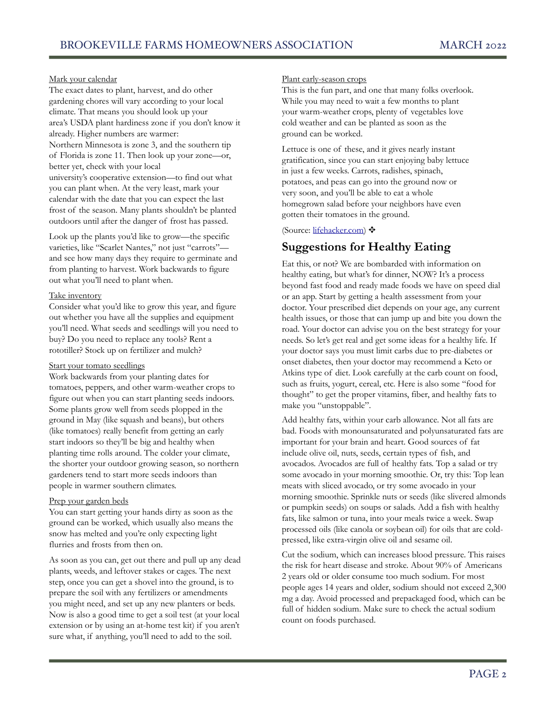#### Mark your calendar

The exact dates to plant, harvest, and do other gardening chores will vary according to your local climate. That means you should look up your area's USDA plant hardiness zone if you don't know it already. Higher numbers are warmer: Northern Minnesota is zone 3, and the southern tip of Florida is zone 11. Then look up your zone—or, better yet, check with your local university's cooperative extension—to find out what you can plant when. At the very least, mark your calendar with the date that you can expect the last frost of the season. Many plants shouldn't be planted outdoors until after the danger of frost has passed.

Look up the plants you'd like to grow—the specific varieties, like "Scarlet Nantes," not just "carrots" and see how many days they require to germinate and from planting to harvest. Work backwards to figure out what you'll need to plant when.

#### Take inventory

Consider what you'd like to grow this year, and figure out whether you have all the supplies and equipment you'll need. What seeds and seedlings will you need to buy? Do you need to replace any tools? Rent a rototiller? Stock up on fertilizer and mulch?

#### Start your tomato seedlings

Work backwards from your planting dates for tomatoes, peppers, and other warm-weather crops to figure out when you can start planting seeds indoors. Some plants grow well from seeds plopped in the ground in May (like squash and beans), but others (like tomatoes) really benefit from getting an early start indoors so they'll be big and healthy when planting time rolls around. The colder your climate, the shorter your outdoor growing season, so northern gardeners tend to start more seeds indoors than people in warmer southern climates.

#### Prep your garden beds

You can start getting your hands dirty as soon as the ground can be worked, which usually also means the snow has melted and you're only expecting light flurries and frosts from then on.

As soon as you can, get out there and pull up any dead plants, weeds, and leftover stakes or cages. The next step, once you can get a shovel into the ground, is to prepare the soil with any fertilizers or amendments you might need, and set up any new planters or beds. Now is also a good time to get a soil test (at your local extension or by using an at-home test kit) if you aren't sure what, if anything, you'll need to add to the soil.

#### Plant early-season crops

This is the fun part, and one that many folks overlook. While you may need to wait a few months to plant your warm-weather crops, plenty of vegetables love cold weather and can be planted as soon as the ground can be worked.

Lettuce is one of these, and it gives nearly instant gratification, since you can start enjoying baby lettuce in just a few weeks. Carrots, radishes, spinach, potatoes, and peas can go into the ground now or very soon, and you'll be able to eat a whole homegrown salad before your neighbors have even gotten their tomatoes in the ground.

#### (Source: [lifehacker.com\)](http://lifehacker.com) ✥

## **Suggestions for Healthy Eating**

Eat this, or not? We are bombarded with information on healthy eating, but what's for dinner, NOW? It's a process beyond fast food and ready made foods we have on speed dial or an app. Start by getting a health assessment from your doctor. Your prescribed diet depends on your age, any current health issues, or those that can jump up and bite you down the road. Your doctor can advise you on the best strategy for your needs. So let's get real and get some ideas for a healthy life. If your doctor says you must limit carbs due to pre-diabetes or onset diabetes, then your doctor may recommend a Keto or Atkins type of diet. Look carefully at the carb count on food, such as fruits, yogurt, cereal, etc. Here is also some "food for thought" to get the proper vitamins, fiber, and healthy fats to make you "unstoppable".

Add healthy fats, within your carb allowance. Not all fats are bad. Foods with monounsaturated and polyunsaturated fats are important for your brain and heart. Good sources of fat include olive oil, nuts, seeds, certain types of fish, and avocados. Avocados are full of healthy fats. Top a salad or try some avocado in your morning smoothie. Or, try this: Top lean meats with sliced avocado, or try some avocado in your morning smoothie. Sprinkle nuts or seeds (like slivered almonds or pumpkin seeds) on soups or salads. Add a fish with healthy fats, like salmon or tuna, into your meals twice a week. Swap processed oils (like canola or soybean oil) for oils that are coldpressed, like extra-virgin olive oil and sesame oil.

Cut the sodium, which can increases blood pressure. This raises the risk for heart disease and stroke. About 90% of Americans 2 years old or older consume too much sodium. For most people ages 14 years and older, sodium should not exceed 2,300 mg a day. Avoid processed and prepackaged food, which can be full of hidden sodium. Make sure to check the actual sodium count on foods purchased.